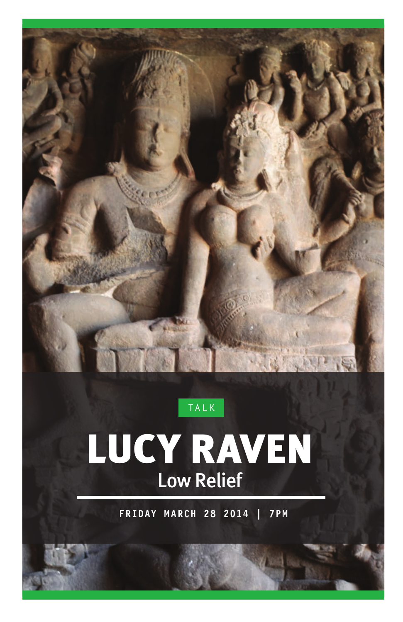

### **TALK**

# LUCY RAVEN Low Relief

**FRIDAY MARCH 28 2014 | 7PM**

**C**OURTEST OF THE ARTIST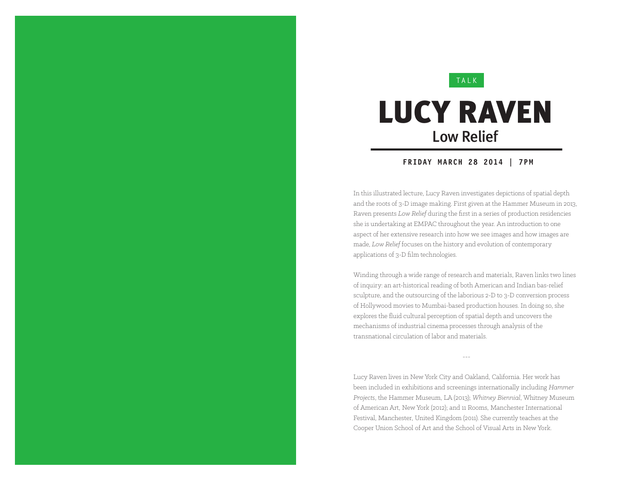### **TALK**

## LUCY RAVEN Low Relief

### **FRIDAY MARCH 28 2014 | 7PM**

In this illustrated lecture, Lucy Raven investigates depictions of spatial depth and the roots of 3-D image making. First given at the Hammer Museum in 2013, Raven presents *Low Relief* during the first in a series of production residencies she is undertaking at EMPAC throughout the year. An introduction to one aspect of her extensive research into how we see images and how images are made, *Low Relief* focuses on the history and evolution of contemporary applications of 3-D film technologies.

Winding through a wide range of research and materials, Raven links two lines of inquiry: an art-historical reading of both American and Indian bas-relief sculpture, and the outsourcing of the laborious 2-D to 3-D conversion process of Hollywood movies to Mumbai-based production houses. In doing so, she explores the fluid cultural perception of spatial depth and uncovers the mechanisms of industrial cinema processes through analysis of the transnational circulation of labor and materials.

---

Lucy Raven lives in New York City and Oakland, California. Her work has been included in exhibitions and screenings internationally including *Hammer Projects*, the Hammer Museum, LA (2013); *Whitney Biennial*, Whitney Museum of American Art, New York (2012); and 11 Rooms, Manchester International Festival, Manchester, United Kingdom (2011). She currently teaches at the Cooper Union School of Art and the School of Visual Arts in New York.